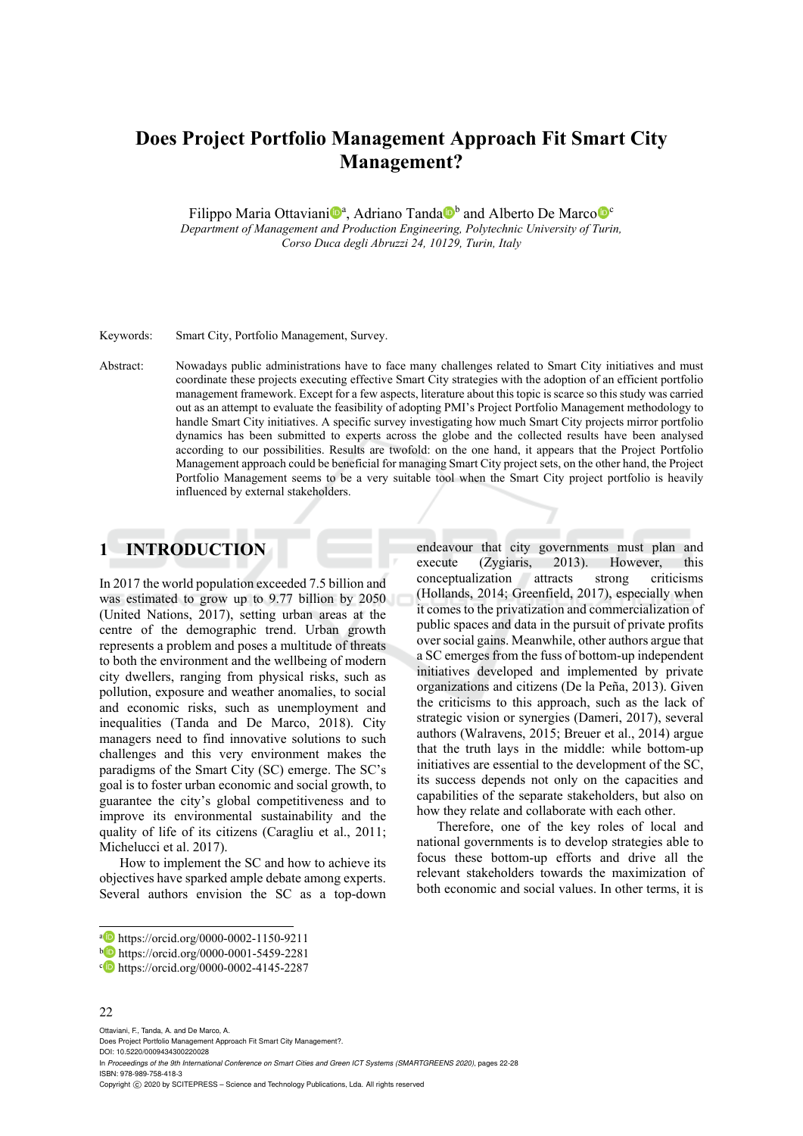# **Does Project Portfolio Management Approach Fit Smart City Management?**

Filippo Maria Ottaviani<sup>na</sup>, Adriano Tanda<sup>n b</sup>and Alberto De Marco<sup>no</sup> *Department of Management and Production Engineering, Polytechnic University of Turin, Corso Duca degli Abruzzi 24, 10129, Turin, Italy* 

Keywords: Smart City, Portfolio Management, Survey.

Abstract: Nowadays public administrations have to face many challenges related to Smart City initiatives and must coordinate these projects executing effective Smart City strategies with the adoption of an efficient portfolio management framework. Except for a few aspects, literature about this topic is scarce so this study was carried out as an attempt to evaluate the feasibility of adopting PMI's Project Portfolio Management methodology to handle Smart City initiatives. A specific survey investigating how much Smart City projects mirror portfolio dynamics has been submitted to experts across the globe and the collected results have been analysed according to our possibilities. Results are twofold: on the one hand, it appears that the Project Portfolio Management approach could be beneficial for managing Smart City project sets, on the other hand, the Project Portfolio Management seems to be a very suitable tool when the Smart City project portfolio is heavily influenced by external stakeholders.

## **1 INTRODUCTION**

In 2017 the world population exceeded 7.5 billion and was estimated to grow up to 9.77 billion by 2050 (United Nations, 2017), setting urban areas at the centre of the demographic trend. Urban growth represents a problem and poses a multitude of threats to both the environment and the wellbeing of modern city dwellers, ranging from physical risks, such as pollution, exposure and weather anomalies, to social and economic risks, such as unemployment and inequalities (Tanda and De Marco, 2018). City managers need to find innovative solutions to such challenges and this very environment makes the paradigms of the Smart City (SC) emerge. The SC's goal is to foster urban economic and social growth, to guarantee the city's global competitiveness and to improve its environmental sustainability and the quality of life of its citizens (Caragliu et al., 2011; Michelucci et al. 2017).

How to implement the SC and how to achieve its objectives have sparked ample debate among experts. Several authors envision the SC as a top-down endeavour that city governments must plan and execute (Zygiaris, 2013). However, this conceptualization attracts strong criticisms (Hollands, 2014; Greenfield, 2017), especially when it comes to the privatization and commercialization of public spaces and data in the pursuit of private profits over social gains. Meanwhile, other authors argue that a SC emerges from the fuss of bottom-up independent initiatives developed and implemented by private organizations and citizens (De la Peña, 2013). Given the criticisms to this approach, such as the lack of strategic vision or synergies (Dameri, 2017), several authors (Walravens, 2015; Breuer et al., 2014) argue that the truth lays in the middle: while bottom-up initiatives are essential to the development of the SC, its success depends not only on the capacities and capabilities of the separate stakeholders, but also on how they relate and collaborate with each other.

Therefore, one of the key roles of local and national governments is to develop strategies able to focus these bottom-up efforts and drive all the relevant stakeholders towards the maximization of both economic and social values. In other terms, it is

#### 22

 $\overline{a}$ 

Ottaviani, F., Tanda, A. and De Marco, A.

Does Project Portfolio Management Approach Fit Smart City Management?. DOI: 10.5220/0009434300220028

In *Proceedings of the 9th International Conference on Smart Cities and Green ICT Systems (SMARTGREENS 2020)*, pages 22-28 ISBN: 978-989-758-418-3

Copyright (C) 2020 by SCITEPRESS - Science and Technology Publications, Lda. All rights reserved

a https://orcid.org/0000-0002-1150-9211<br>b https://orcid.org/0000-0001-5459-2281<br>c https://orcid.org/0000-0002-4145-2287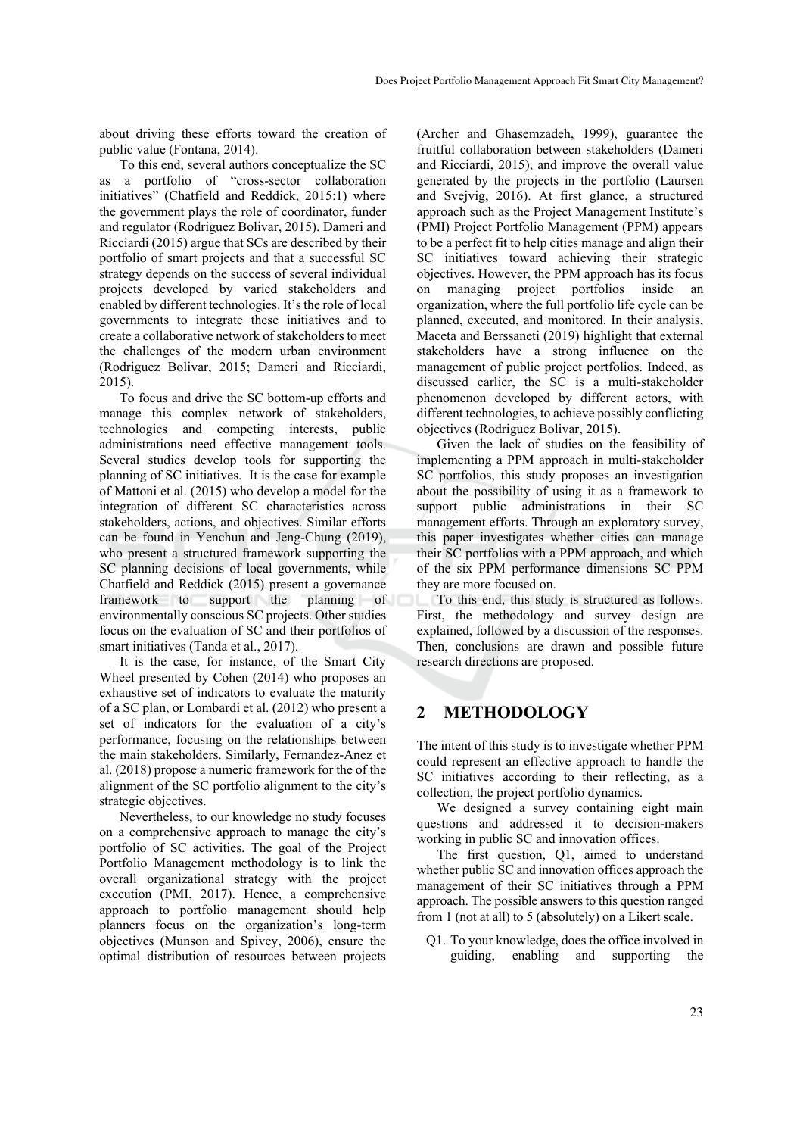about driving these efforts toward the creation of public value (Fontana, 2014).

To this end, several authors conceptualize the SC as a portfolio of "cross-sector collaboration initiatives" (Chatfield and Reddick, 2015:1) where the government plays the role of coordinator, funder and regulator (Rodriguez Bolivar, 2015). Dameri and Ricciardi (2015) argue that SCs are described by their portfolio of smart projects and that a successful SC strategy depends on the success of several individual projects developed by varied stakeholders and enabled by different technologies. It's the role of local governments to integrate these initiatives and to create a collaborative network of stakeholders to meet the challenges of the modern urban environment (Rodriguez Bolivar, 2015; Dameri and Ricciardi, 2015).

To focus and drive the SC bottom-up efforts and manage this complex network of stakeholders, technologies and competing interests, public administrations need effective management tools. Several studies develop tools for supporting the planning of SC initiatives. It is the case for example of Mattoni et al. (2015) who develop a model for the integration of different SC characteristics across stakeholders, actions, and objectives. Similar efforts can be found in Yenchun and Jeng-Chung (2019), who present a structured framework supporting the SC planning decisions of local governments, while Chatfield and Reddick (2015) present a governance framework to support the planning of environmentally conscious SC projects. Other studies focus on the evaluation of SC and their portfolios of smart initiatives (Tanda et al., 2017).

It is the case, for instance, of the Smart City Wheel presented by Cohen (2014) who proposes an exhaustive set of indicators to evaluate the maturity of a SC plan, or Lombardi et al. (2012) who present a set of indicators for the evaluation of a city's performance, focusing on the relationships between the main stakeholders. Similarly, Fernandez-Anez et al. (2018) propose a numeric framework for the of the alignment of the SC portfolio alignment to the city's strategic objectives.

Nevertheless, to our knowledge no study focuses on a comprehensive approach to manage the city's portfolio of SC activities. The goal of the Project Portfolio Management methodology is to link the overall organizational strategy with the project execution (PMI, 2017). Hence, a comprehensive approach to portfolio management should help planners focus on the organization's long-term objectives (Munson and Spivey, 2006), ensure the optimal distribution of resources between projects

(Archer and Ghasemzadeh, 1999), guarantee the fruitful collaboration between stakeholders (Dameri and Ricciardi, 2015), and improve the overall value generated by the projects in the portfolio (Laursen and Svejvig, 2016). At first glance, a structured approach such as the Project Management Institute's (PMI) Project Portfolio Management (PPM) appears to be a perfect fit to help cities manage and align their SC initiatives toward achieving their strategic objectives. However, the PPM approach has its focus on managing project portfolios inside an organization, where the full portfolio life cycle can be planned, executed, and monitored. In their analysis, Maceta and Berssaneti (2019) highlight that external stakeholders have a strong influence on the management of public project portfolios. Indeed, as discussed earlier, the SC is a multi-stakeholder phenomenon developed by different actors, with different technologies, to achieve possibly conflicting objectives (Rodriguez Bolivar, 2015).

Given the lack of studies on the feasibility of implementing a PPM approach in multi-stakeholder SC portfolios, this study proposes an investigation about the possibility of using it as a framework to support public administrations in their SC management efforts. Through an exploratory survey, this paper investigates whether cities can manage their SC portfolios with a PPM approach, and which of the six PPM performance dimensions SC PPM they are more focused on.

To this end, this study is structured as follows. First, the methodology and survey design are explained, followed by a discussion of the responses. Then, conclusions are drawn and possible future research directions are proposed.

## **2 METHODOLOGY**

The intent of this study is to investigate whether PPM could represent an effective approach to handle the SC initiatives according to their reflecting, as a collection, the project portfolio dynamics.

We designed a survey containing eight main questions and addressed it to decision-makers working in public SC and innovation offices.

The first question, Q1, aimed to understand whether public SC and innovation offices approach the management of their SC initiatives through a PPM approach. The possible answers to this question ranged from 1 (not at all) to 5 (absolutely) on a Likert scale.

Q1. To your knowledge, does the office involved in guiding, enabling and supporting the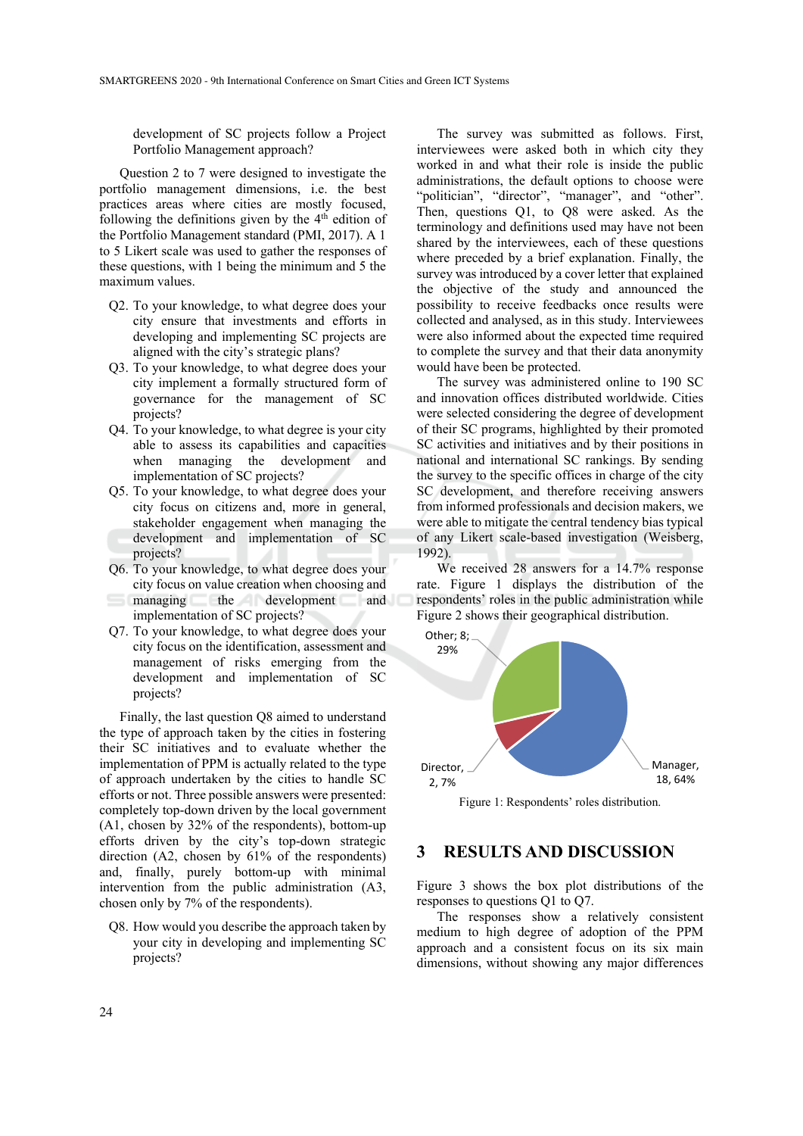development of SC projects follow a Project Portfolio Management approach?

Question 2 to 7 were designed to investigate the portfolio management dimensions, i.e. the best practices areas where cities are mostly focused, following the definitions given by the  $4<sup>th</sup>$  edition of the Portfolio Management standard (PMI, 2017). A 1 to 5 Likert scale was used to gather the responses of these questions, with 1 being the minimum and 5 the maximum values.

- Q2. To your knowledge, to what degree does your city ensure that investments and efforts in developing and implementing SC projects are aligned with the city's strategic plans?
- Q3. To your knowledge, to what degree does your city implement a formally structured form of governance for the management of SC projects?
- Q4. To your knowledge, to what degree is your city able to assess its capabilities and capacities when managing the development and implementation of SC projects?
- Q5. To your knowledge, to what degree does your city focus on citizens and, more in general, stakeholder engagement when managing the development and implementation of SC projects?
- Q6. To your knowledge, to what degree does your city focus on value creation when choosing and managing the development and implementation of SC projects?
- Q7. To your knowledge, to what degree does your city focus on the identification, assessment and management of risks emerging from the development and implementation of SC projects?

Finally, the last question Q8 aimed to understand the type of approach taken by the cities in fostering their SC initiatives and to evaluate whether the implementation of PPM is actually related to the type of approach undertaken by the cities to handle SC efforts or not. Three possible answers were presented: completely top-down driven by the local government (A1, chosen by 32% of the respondents), bottom-up efforts driven by the city's top-down strategic direction (A2, chosen by 61% of the respondents) and, finally, purely bottom-up with minimal intervention from the public administration (A3, chosen only by 7% of the respondents).

Q8. How would you describe the approach taken by your city in developing and implementing SC projects?

The survey was submitted as follows. First, interviewees were asked both in which city they worked in and what their role is inside the public administrations, the default options to choose were "politician", "director", "manager", and "other". Then, questions Q1, to Q8 were asked. As the terminology and definitions used may have not been shared by the interviewees, each of these questions where preceded by a brief explanation. Finally, the survey was introduced by a cover letter that explained the objective of the study and announced the possibility to receive feedbacks once results were collected and analysed, as in this study. Interviewees were also informed about the expected time required to complete the survey and that their data anonymity would have been be protected.

The survey was administered online to 190 SC and innovation offices distributed worldwide. Cities were selected considering the degree of development of their SC programs, highlighted by their promoted SC activities and initiatives and by their positions in national and international SC rankings. By sending the survey to the specific offices in charge of the city SC development, and therefore receiving answers from informed professionals and decision makers, we were able to mitigate the central tendency bias typical of any Likert scale-based investigation (Weisberg, 1992).

We received 28 answers for a 14.7% response rate. Figure 1 displays the distribution of the respondents' roles in the public administration while Figure 2 shows their geographical distribution.



Figure 1: Respondents' roles distribution.

# **3 RESULTS AND DISCUSSION**

Figure 3 shows the box plot distributions of the responses to questions Q1 to Q7.

The responses show a relatively consistent medium to high degree of adoption of the PPM approach and a consistent focus on its six main dimensions, without showing any major differences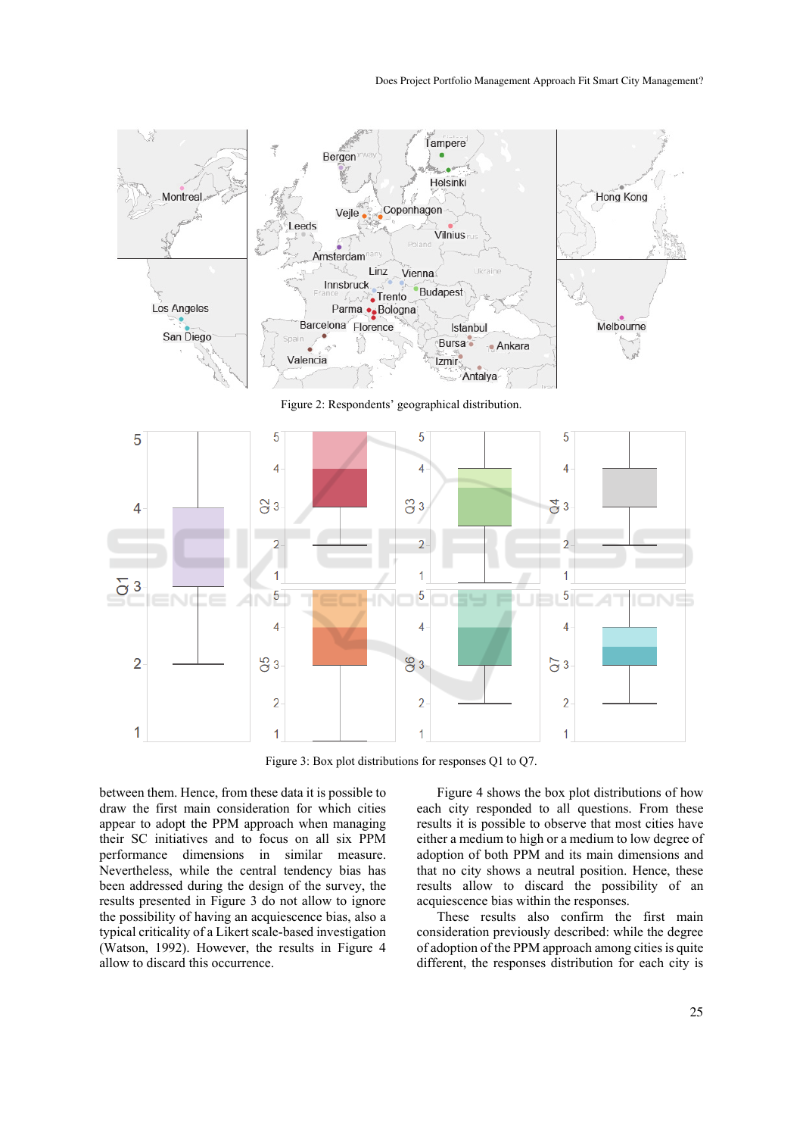



Figure 3: Box plot distributions for responses Q1 to Q7.

between them. Hence, from these data it is possible to draw the first main consideration for which cities appear to adopt the PPM approach when managing their SC initiatives and to focus on all six PPM performance dimensions in similar measure. Nevertheless, while the central tendency bias has been addressed during the design of the survey, the results presented in Figure 3 do not allow to ignore the possibility of having an acquiescence bias, also a typical criticality of a Likert scale-based investigation (Watson, 1992). However, the results in Figure 4 allow to discard this occurrence.

Figure 4 shows the box plot distributions of how each city responded to all questions. From these results it is possible to observe that most cities have either a medium to high or a medium to low degree of adoption of both PPM and its main dimensions and that no city shows a neutral position. Hence, these results allow to discard the possibility of an acquiescence bias within the responses.

These results also confirm the first main consideration previously described: while the degree of adoption of the PPM approach among cities is quite different, the responses distribution for each city is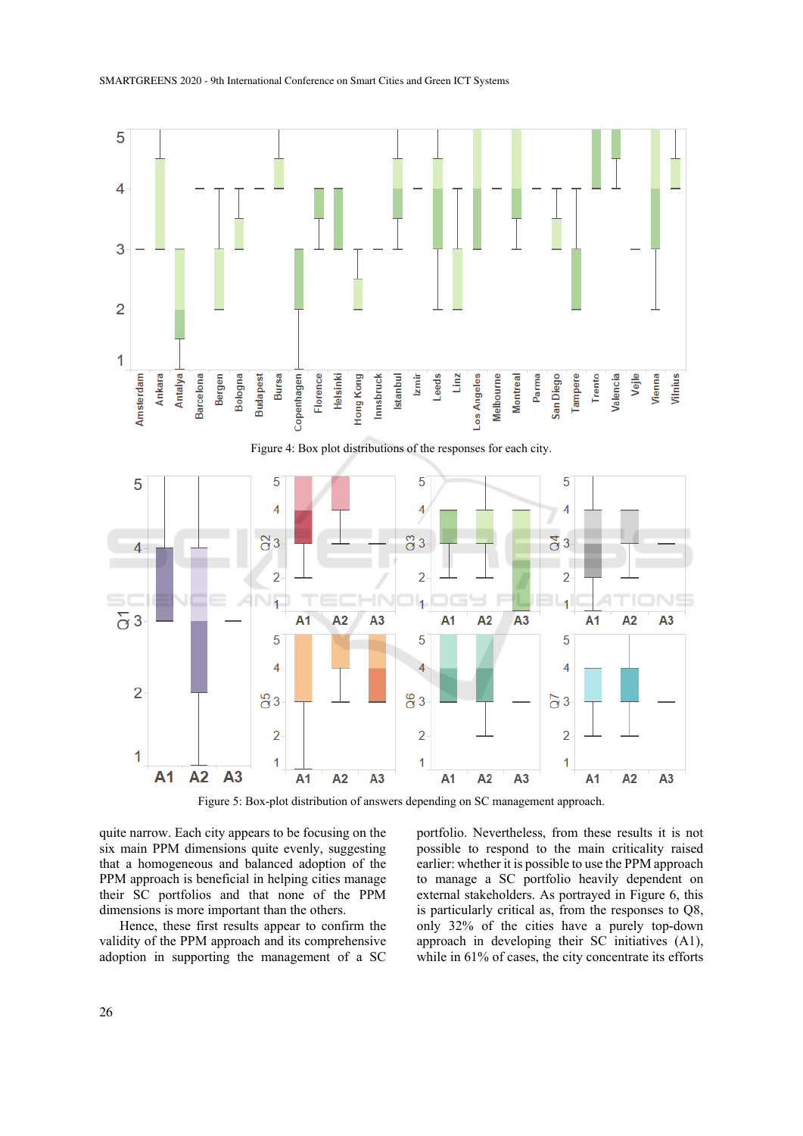

Figure 5: Box-plot distribution of answers depending on SC management approach.

quite narrow. Each city appears to be focusing on the six main PPM dimensions quite evenly, suggesting that a homogeneous and balanced adoption of the PPM approach is beneficial in helping cities manage their SC portfolios and that none of the PPM dimensions is more important than the others.

Hence, these first results appear to confirm the validity of the PPM approach and its comprehensive adoption in supporting the management of a SC

portfolio. Nevertheless, from these results it is not possible to respond to the main criticality raised earlier: whether it is possible to use the PPM approach to manage a SC portfolio heavily dependent on external stakeholders. As portrayed in Figure 6, this is particularly critical as, from the responses to Q8, only 32% of the cities have a purely top-down approach in developing their SC initiatives (A1), while in 61% of cases, the city concentrate its efforts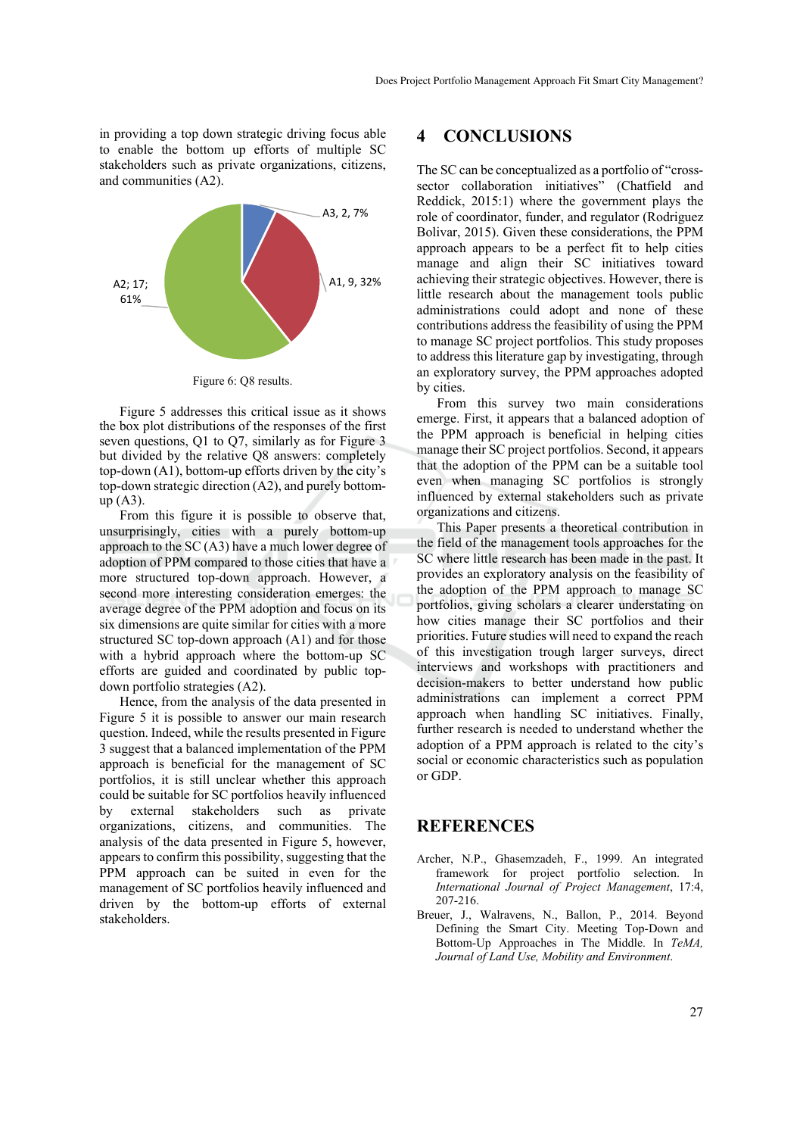in providing a top down strategic driving focus able to enable the bottom up efforts of multiple SC stakeholders such as private organizations, citizens, and communities (A2).



Figure 6: Q8 results.

Figure 5 addresses this critical issue as it shows the box plot distributions of the responses of the first seven questions, Q1 to Q7, similarly as for Figure 3 but divided by the relative Q8 answers: completely top-down (A1), bottom-up efforts driven by the city's top-down strategic direction (A2), and purely bottomup (A3).

From this figure it is possible to observe that, unsurprisingly, cities with a purely bottom-up approach to the SC (A3) have a much lower degree of adoption of PPM compared to those cities that have a more structured top-down approach. However, a second more interesting consideration emerges: the average degree of the PPM adoption and focus on its six dimensions are quite similar for cities with a more structured SC top-down approach (A1) and for those with a hybrid approach where the bottom-up SC efforts are guided and coordinated by public topdown portfolio strategies (A2).

Hence, from the analysis of the data presented in Figure 5 it is possible to answer our main research question. Indeed, while the results presented in Figure 3 suggest that a balanced implementation of the PPM approach is beneficial for the management of SC portfolios, it is still unclear whether this approach could be suitable for SC portfolios heavily influenced by external stakeholders such as private organizations, citizens, and communities. The analysis of the data presented in Figure 5, however, appears to confirm this possibility, suggesting that the PPM approach can be suited in even for the management of SC portfolios heavily influenced and driven by the bottom-up efforts of external stakeholders.

#### **4 CONCLUSIONS**

The SC can be conceptualized as a portfolio of "crosssector collaboration initiatives" (Chatfield and Reddick, 2015:1) where the government plays the role of coordinator, funder, and regulator (Rodriguez Bolivar, 2015). Given these considerations, the PPM approach appears to be a perfect fit to help cities manage and align their SC initiatives toward achieving their strategic objectives. However, there is little research about the management tools public administrations could adopt and none of these contributions address the feasibility of using the PPM to manage SC project portfolios. This study proposes to address this literature gap by investigating, through an exploratory survey, the PPM approaches adopted by cities.

From this survey two main considerations emerge. First, it appears that a balanced adoption of the PPM approach is beneficial in helping cities manage their SC project portfolios. Second, it appears that the adoption of the PPM can be a suitable tool even when managing SC portfolios is strongly influenced by external stakeholders such as private organizations and citizens.

This Paper presents a theoretical contribution in the field of the management tools approaches for the SC where little research has been made in the past. It provides an exploratory analysis on the feasibility of the adoption of the PPM approach to manage SC portfolios, giving scholars a clearer understating on how cities manage their SC portfolios and their priorities. Future studies will need to expand the reach of this investigation trough larger surveys, direct interviews and workshops with practitioners and decision-makers to better understand how public administrations can implement a correct PPM approach when handling SC initiatives. Finally, further research is needed to understand whether the adoption of a PPM approach is related to the city's social or economic characteristics such as population or GDP.

#### **REFERENCES**

- Archer, N.P., Ghasemzadeh, F., 1999. An integrated framework for project portfolio selection. In *International Journal of Project Management*, 17:4, 207-216.
- Breuer, J., Walravens, N., Ballon, P., 2014. Beyond Defining the Smart City. Meeting Top-Down and Bottom-Up Approaches in The Middle. In *TeMA, Journal of Land Use, Mobility and Environment*.